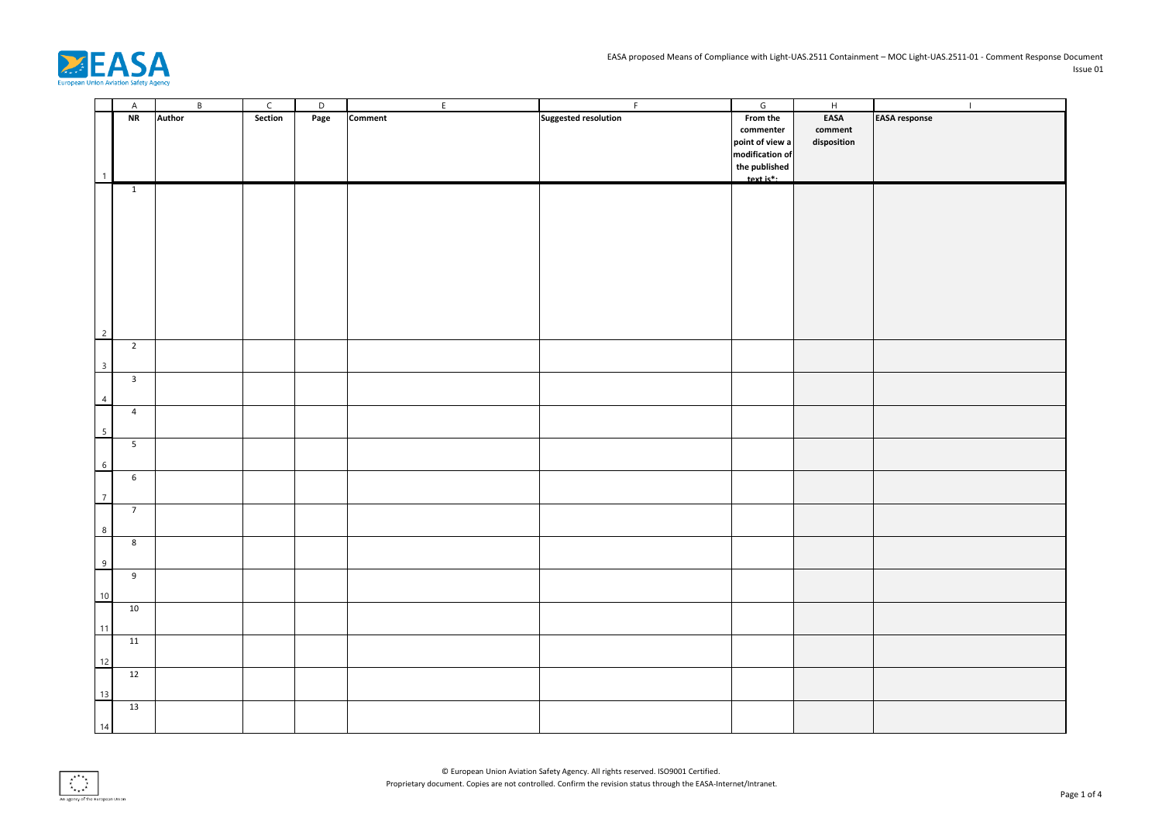

|                         | $\overline{A}$          | $\, {\sf B} \,$ | $\mathsf{C}$ | $\overline{D}$ | E              | F                           | $\overline{G}$  | $\mathbf{H}$    | $\perp$              |
|-------------------------|-------------------------|-----------------|--------------|----------------|----------------|-----------------------------|-----------------|-----------------|----------------------|
|                         | NR                      | Author          | Section      | Page           | <b>Comment</b> | <b>Suggested resolution</b> | From the        | EASA            | <b>EASA</b> response |
|                         |                         |                 |              |                |                |                             | commenter       | ${\tt comment}$ |                      |
|                         |                         |                 |              |                |                |                             | point of view a | disposition     |                      |
|                         |                         |                 |              |                |                |                             | modification of |                 |                      |
|                         |                         |                 |              |                |                |                             |                 |                 |                      |
|                         |                         |                 |              |                |                |                             | the published   |                 |                      |
|                         | $\overline{1}$          |                 |              |                |                |                             | $text is*$ :    |                 |                      |
|                         |                         |                 |              |                |                |                             |                 |                 |                      |
|                         |                         |                 |              |                |                |                             |                 |                 |                      |
|                         |                         |                 |              |                |                |                             |                 |                 |                      |
|                         |                         |                 |              |                |                |                             |                 |                 |                      |
|                         |                         |                 |              |                |                |                             |                 |                 |                      |
|                         |                         |                 |              |                |                |                             |                 |                 |                      |
|                         |                         |                 |              |                |                |                             |                 |                 |                      |
|                         |                         |                 |              |                |                |                             |                 |                 |                      |
|                         |                         |                 |              |                |                |                             |                 |                 |                      |
|                         |                         |                 |              |                |                |                             |                 |                 |                      |
|                         |                         |                 |              |                |                |                             |                 |                 |                      |
|                         |                         |                 |              |                |                |                             |                 |                 |                      |
| $\overline{2}$          |                         |                 |              |                |                |                             |                 |                 |                      |
|                         | $\overline{2}$          |                 |              |                |                |                             |                 |                 |                      |
| $\overline{\mathbf{3}}$ |                         |                 |              |                |                |                             |                 |                 |                      |
|                         |                         |                 |              |                |                |                             |                 |                 |                      |
|                         | $\overline{\mathbf{3}}$ |                 |              |                |                |                             |                 |                 |                      |
| $\overline{4}$          |                         |                 |              |                |                |                             |                 |                 |                      |
|                         | $\overline{4}$          |                 |              |                |                |                             |                 |                 |                      |
|                         |                         |                 |              |                |                |                             |                 |                 |                      |
| $5\overline{)}$         |                         |                 |              |                |                |                             |                 |                 |                      |
|                         | $5\overline{)}$         |                 |              |                |                |                             |                 |                 |                      |
|                         |                         |                 |              |                |                |                             |                 |                 |                      |
| $6\overline{6}$         |                         |                 |              |                |                |                             |                 |                 |                      |
|                         | $\sqrt{6}$              |                 |              |                |                |                             |                 |                 |                      |
| $\overline{7}$          |                         |                 |              |                |                |                             |                 |                 |                      |
|                         | $\overline{7}$          |                 |              |                |                |                             |                 |                 |                      |
|                         |                         |                 |              |                |                |                             |                 |                 |                      |
| $8\phantom{.0}$         |                         |                 |              |                |                |                             |                 |                 |                      |
|                         | $\bf 8$                 |                 |              |                |                |                             |                 |                 |                      |
|                         |                         |                 |              |                |                |                             |                 |                 |                      |
| $\overline{9}$          |                         |                 |              |                |                |                             |                 |                 |                      |
|                         | 9                       |                 |              |                |                |                             |                 |                 |                      |
|                         |                         |                 |              |                |                |                             |                 |                 |                      |
| 10                      |                         |                 |              |                |                |                             |                 |                 |                      |
|                         | $10$                    |                 |              |                |                |                             |                 |                 |                      |
| 11                      |                         |                 |              |                |                |                             |                 |                 |                      |
|                         | 11                      |                 |              |                |                |                             |                 |                 |                      |
|                         |                         |                 |              |                |                |                             |                 |                 |                      |
| 12                      |                         |                 |              |                |                |                             |                 |                 |                      |
|                         | 12                      |                 |              |                |                |                             |                 |                 |                      |
|                         |                         |                 |              |                |                |                             |                 |                 |                      |
| 13                      |                         |                 |              |                |                |                             |                 |                 |                      |
|                         | $13$                    |                 |              |                |                |                             |                 |                 |                      |
|                         |                         |                 |              |                |                |                             |                 |                 |                      |
| 14                      |                         |                 |              |                |                |                             |                 |                 |                      |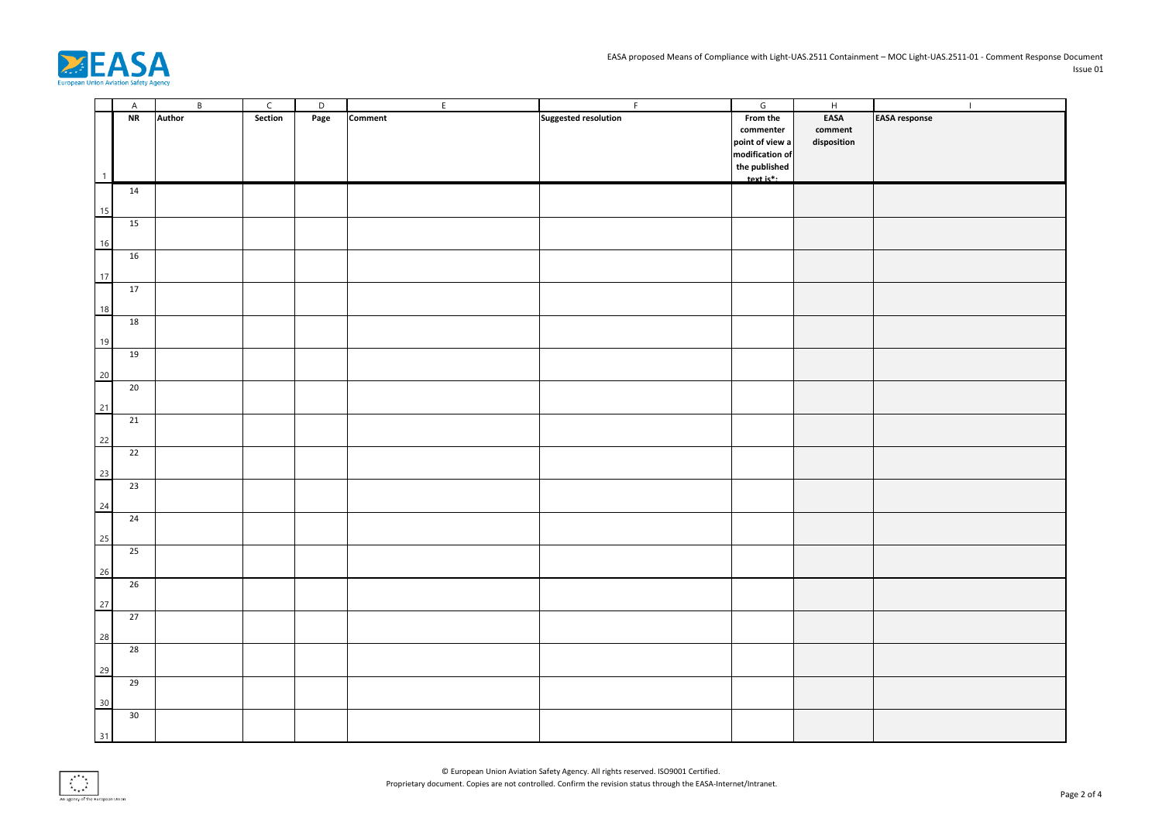

|                | $\overline{A}$ | $\,$ B        | $\mathsf{C}$ | D    | $\mathsf{E}$   | F                           | $\mathsf{G}% _{\mathsf{G}}$ | $\overline{H}$  | $\mathbf{I}$         |
|----------------|----------------|---------------|--------------|------|----------------|-----------------------------|-----------------------------|-----------------|----------------------|
|                | NR             | <b>Author</b> | Section      | Page | <b>Comment</b> | <b>Suggested resolution</b> | From the                    | EASA            | <b>EASA response</b> |
|                |                |               |              |      |                |                             | commenter                   | ${\tt comment}$ |                      |
|                |                |               |              |      |                |                             | point of view a             | disposition     |                      |
|                |                |               |              |      |                |                             | modification of             |                 |                      |
|                |                |               |              |      |                |                             | the published               |                 |                      |
| $\overline{1}$ |                |               |              |      |                |                             | $text is$ <sup>*</sup> :    |                 |                      |
|                | 14             |               |              |      |                |                             |                             |                 |                      |
|                |                |               |              |      |                |                             |                             |                 |                      |
| 15             |                |               |              |      |                |                             |                             |                 |                      |
|                | 15             |               |              |      |                |                             |                             |                 |                      |
|                |                |               |              |      |                |                             |                             |                 |                      |
| 16             |                |               |              |      |                |                             |                             |                 |                      |
|                | 16             |               |              |      |                |                             |                             |                 |                      |
| 17             |                |               |              |      |                |                             |                             |                 |                      |
|                | 17             |               |              |      |                |                             |                             |                 |                      |
|                |                |               |              |      |                |                             |                             |                 |                      |
| 18             |                |               |              |      |                |                             |                             |                 |                      |
|                | 18             |               |              |      |                |                             |                             |                 |                      |
| 19             |                |               |              |      |                |                             |                             |                 |                      |
|                | 19             |               |              |      |                |                             |                             |                 |                      |
|                |                |               |              |      |                |                             |                             |                 |                      |
| 20             |                |               |              |      |                |                             |                             |                 |                      |
|                | 20             |               |              |      |                |                             |                             |                 |                      |
|                |                |               |              |      |                |                             |                             |                 |                      |
| 21             |                |               |              |      |                |                             |                             |                 |                      |
|                | 21             |               |              |      |                |                             |                             |                 |                      |
| 22             |                |               |              |      |                |                             |                             |                 |                      |
|                | 22             |               |              |      |                |                             |                             |                 |                      |
|                |                |               |              |      |                |                             |                             |                 |                      |
| 23             |                |               |              |      |                |                             |                             |                 |                      |
|                | 23             |               |              |      |                |                             |                             |                 |                      |
| 24             |                |               |              |      |                |                             |                             |                 |                      |
|                | 24             |               |              |      |                |                             |                             |                 |                      |
|                |                |               |              |      |                |                             |                             |                 |                      |
| 25             |                |               |              |      |                |                             |                             |                 |                      |
|                | 25             |               |              |      |                |                             |                             |                 |                      |
|                |                |               |              |      |                |                             |                             |                 |                      |
| 26             |                |               |              |      |                |                             |                             |                 |                      |
|                | 26             |               |              |      |                |                             |                             |                 |                      |
| 27             |                |               |              |      |                |                             |                             |                 |                      |
|                | 27             |               |              |      |                |                             |                             |                 |                      |
|                |                |               |              |      |                |                             |                             |                 |                      |
| 28             |                |               |              |      |                |                             |                             |                 |                      |
|                | 28             |               |              |      |                |                             |                             |                 |                      |
| 29             |                |               |              |      |                |                             |                             |                 |                      |
|                | 29             |               |              |      |                |                             |                             |                 |                      |
|                |                |               |              |      |                |                             |                             |                 |                      |
| 30             |                |               |              |      |                |                             |                             |                 |                      |
|                | 30             |               |              |      |                |                             |                             |                 |                      |
|                |                |               |              |      |                |                             |                             |                 |                      |
| 31             |                |               |              |      |                |                             |                             |                 |                      |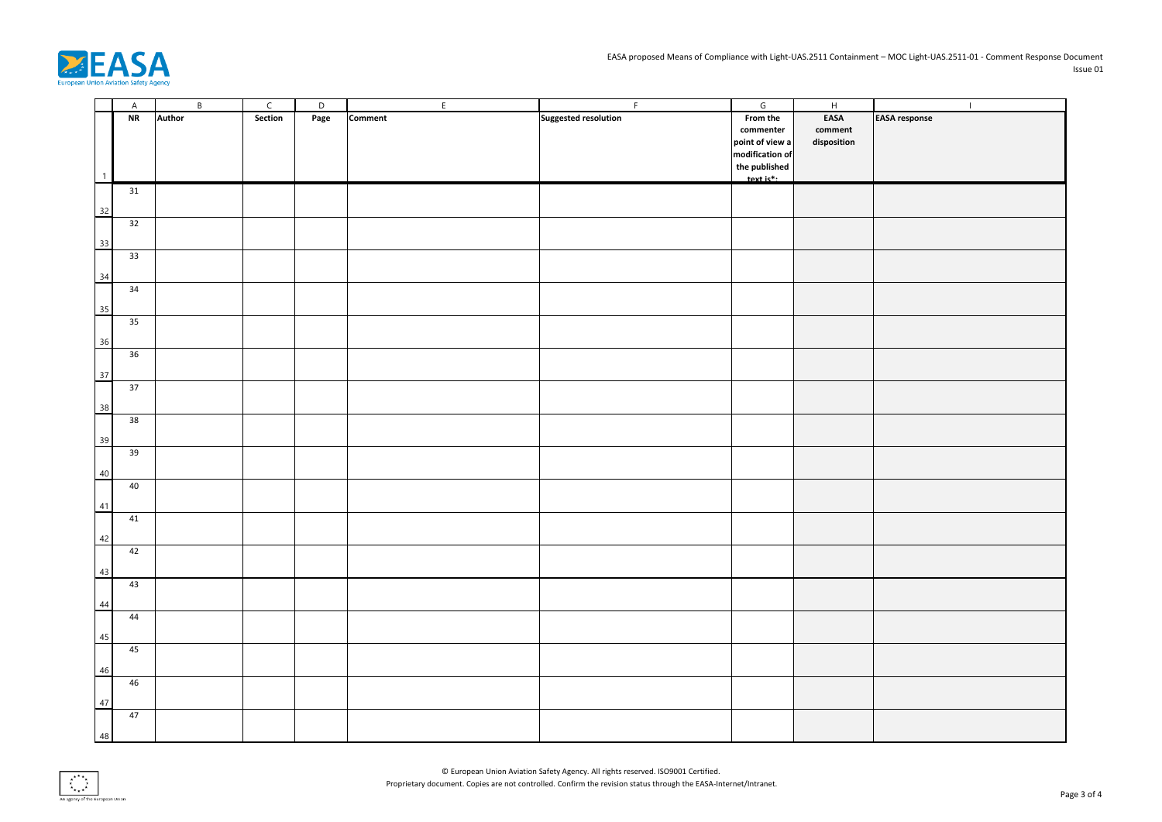

|    | $\overline{A}$ | $\,$ B        | $\mathsf{C}$ | D    | $\mathsf{E}$   | F                           | $\mathsf{G}% _{\mathsf{G}}$ | $\overline{H}$  | $\mathbf{I}$         |
|----|----------------|---------------|--------------|------|----------------|-----------------------------|-----------------------------|-----------------|----------------------|
|    | NR             | <b>Author</b> | Section      | Page | <b>Comment</b> | <b>Suggested resolution</b> | From the                    | EASA            | <b>EASA</b> response |
|    |                |               |              |      |                |                             | commenter                   | ${\tt comment}$ |                      |
|    |                |               |              |      |                |                             | point of view a             | disposition     |                      |
|    |                |               |              |      |                |                             | modification of             |                 |                      |
|    |                |               |              |      |                |                             | the published               |                 |                      |
|    | $\overline{1}$ |               |              |      |                |                             | $text is$ <sup>*</sup> :    |                 |                      |
|    | 31             |               |              |      |                |                             |                             |                 |                      |
|    |                |               |              |      |                |                             |                             |                 |                      |
| 32 |                |               |              |      |                |                             |                             |                 |                      |
|    | 32             |               |              |      |                |                             |                             |                 |                      |
|    |                |               |              |      |                |                             |                             |                 |                      |
| 33 |                |               |              |      |                |                             |                             |                 |                      |
|    | 33             |               |              |      |                |                             |                             |                 |                      |
| 34 |                |               |              |      |                |                             |                             |                 |                      |
|    | 34             |               |              |      |                |                             |                             |                 |                      |
|    |                |               |              |      |                |                             |                             |                 |                      |
| 35 |                |               |              |      |                |                             |                             |                 |                      |
|    | 35             |               |              |      |                |                             |                             |                 |                      |
| 36 |                |               |              |      |                |                             |                             |                 |                      |
|    | 36             |               |              |      |                |                             |                             |                 |                      |
|    |                |               |              |      |                |                             |                             |                 |                      |
| 37 |                |               |              |      |                |                             |                             |                 |                      |
|    | 37             |               |              |      |                |                             |                             |                 |                      |
|    |                |               |              |      |                |                             |                             |                 |                      |
| 38 |                |               |              |      |                |                             |                             |                 |                      |
|    | 38             |               |              |      |                |                             |                             |                 |                      |
| 39 |                |               |              |      |                |                             |                             |                 |                      |
|    | 39             |               |              |      |                |                             |                             |                 |                      |
|    |                |               |              |      |                |                             |                             |                 |                      |
| 40 |                |               |              |      |                |                             |                             |                 |                      |
|    | 40             |               |              |      |                |                             |                             |                 |                      |
| 41 |                |               |              |      |                |                             |                             |                 |                      |
|    | $41\,$         |               |              |      |                |                             |                             |                 |                      |
|    |                |               |              |      |                |                             |                             |                 |                      |
|    | 42             |               |              |      |                |                             |                             |                 |                      |
|    | 42             |               |              |      |                |                             |                             |                 |                      |
| 43 |                |               |              |      |                |                             |                             |                 |                      |
|    | 43             |               |              |      |                |                             |                             |                 |                      |
|    |                |               |              |      |                |                             |                             |                 |                      |
| 44 |                |               |              |      |                |                             |                             |                 |                      |
|    | 44             |               |              |      |                |                             |                             |                 |                      |
|    |                |               |              |      |                |                             |                             |                 |                      |
| 45 |                |               |              |      |                |                             |                             |                 |                      |
|    | 45             |               |              |      |                |                             |                             |                 |                      |
|    | $46\,$         |               |              |      |                |                             |                             |                 |                      |
|    | 46             |               |              |      |                |                             |                             |                 |                      |
|    |                |               |              |      |                |                             |                             |                 |                      |
| 47 |                |               |              |      |                |                             |                             |                 |                      |
|    | 47             |               |              |      |                |                             |                             |                 |                      |
|    | 48             |               |              |      |                |                             |                             |                 |                      |
|    |                |               |              |      |                |                             |                             |                 |                      |